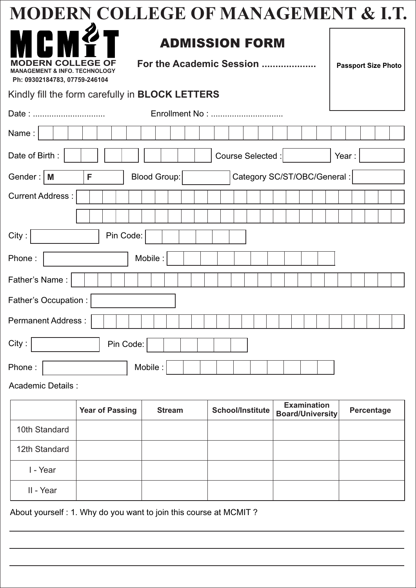|                                                                                                      | <b>MODERN COLLEGE OF MANAGEMENT &amp; I.T.</b>                                  |  |  |  |  |  |
|------------------------------------------------------------------------------------------------------|---------------------------------------------------------------------------------|--|--|--|--|--|
| ICI<br><b>DERN COLL</b><br><b>MANAGEMENT &amp; INFO. TECHNOLOGY</b><br>Ph: 09302184783, 07759-246104 | <b>ADMISSION FORM</b><br>For the Academic Session<br><b>Passport Size Photo</b> |  |  |  |  |  |
| Kindly fill the form carefully in <b>BLOCK LETTERS</b>                                               |                                                                                 |  |  |  |  |  |
| Date:                                                                                                |                                                                                 |  |  |  |  |  |
| Name:                                                                                                |                                                                                 |  |  |  |  |  |
| Date of Birth:                                                                                       | Course Selected :<br>Year:                                                      |  |  |  |  |  |
| Category SC/ST/OBC/General:<br>Gender: $\vert$ M<br>Blood Group:<br>F                                |                                                                                 |  |  |  |  |  |
| <b>Current Address:</b>                                                                              |                                                                                 |  |  |  |  |  |
|                                                                                                      |                                                                                 |  |  |  |  |  |
| Pin Code:<br>City:                                                                                   |                                                                                 |  |  |  |  |  |
| Phone:                                                                                               | Mobile:                                                                         |  |  |  |  |  |
| Father's Name:                                                                                       |                                                                                 |  |  |  |  |  |
| Father's Occupation :                                                                                |                                                                                 |  |  |  |  |  |
| <b>Permanent Address:</b>                                                                            |                                                                                 |  |  |  |  |  |
| City:<br>Pin Code:                                                                                   |                                                                                 |  |  |  |  |  |
| Phone:                                                                                               | Mobile:                                                                         |  |  |  |  |  |

Academic Details :

|               | <b>Year of Passing</b> | <b>Stream</b> | School/Institute | <b>Examination</b><br><b>Board/University</b> | Percentage |
|---------------|------------------------|---------------|------------------|-----------------------------------------------|------------|
| 10th Standard |                        |               |                  |                                               |            |
| 12th Standard |                        |               |                  |                                               |            |
| I - Year      |                        |               |                  |                                               |            |
| II - Year     |                        |               |                  |                                               |            |

About yourself : 1. Why do you want to join this course at MCMIT ?